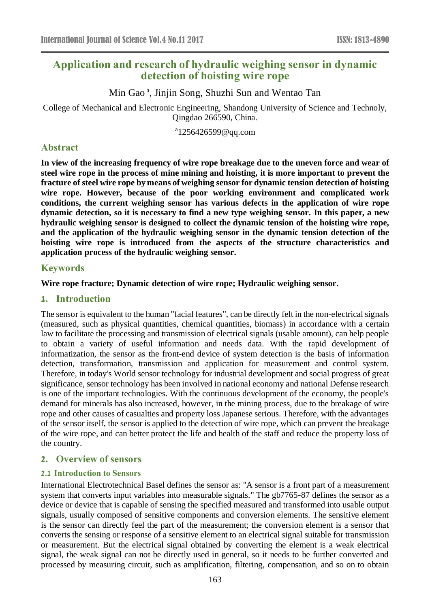# **Application and research of hydraulic weighing sensor in dynamic detection of hoisting wire rope**

Min Gao<sup>a</sup>, Jinjin Song, Shuzhi Sun and Wentao Tan

College of Mechanical and Electronic Engineering, Shandong University of Science and Technoly, Qingdao 266590, China.

<sup>a</sup>1256426599@qq.com

## **Abstract**

**In view of the increasing frequency of wire rope breakage due to the uneven force and wear of steel wire rope in the process of mine mining and hoisting, it is more important to prevent the fracture of steel wire rope by means of weighing sensor for dynamic tension detection of hoisting wire rope. However, because of the poor working environment and complicated work conditions, the current weighing sensor has various defects in the application of wire rope dynamic detection, so it is necessary to find a new type weighing sensor. In this paper, a new hydraulic weighing sensor is designed to collect the dynamic tension of the hoisting wire rope, and the application of the hydraulic weighing sensor in the dynamic tension detection of the hoisting wire rope is introduced from the aspects of the structure characteristics and application process of the hydraulic weighing sensor.**

### **Keywords**

### **Wire rope fracture; Dynamic detection of wire rope; Hydraulic weighing sensor.**

#### **1. Introduction**

The sensor is equivalent to the human "facial features", can be directly felt in the non-electrical signals (measured, such as physical quantities, chemical quantities, biomass) in accordance with a certain law to facilitate the processing and transmission of electrical signals (usable amount), can help people to obtain a variety of useful information and needs data. With the rapid development of informatization, the sensor as the front-end device of system detection is the basis of information detection, transformation, transmission and application for measurement and control system. Therefore, in today's World sensor technology for industrial development and social progress of great significance, sensor technology has been involved in national economy and national Defense research is one of the important technologies. With the continuous development of the economy, the people's demand for minerals has also increased, however, in the mining process, due to the breakage of wire rope and other causes of casualties and property loss Japanese serious. Therefore, with the advantages of the sensor itself, the sensor is applied to the detection of wire rope, which can prevent the breakage of the wire rope, and can better protect the life and health of the staff and reduce the property loss of the country.

## **2. Overview of sensors**

#### **2.1 Introduction to Sensors**

International Electrotechnical Basel defines the sensor as: "A sensor is a front part of a measurement system that converts input variables into measurable signals." The gb7765-87 defines the sensor as a device or device that is capable of sensing the specified measured and transformed into usable output signals, usually composed of sensitive components and conversion elements. The sensitive element is the sensor can directly feel the part of the measurement; the conversion element is a sensor that converts the sensing or response of a sensitive element to an electrical signal suitable for transmission or measurement. But the electrical signal obtained by converting the element is a weak electrical signal, the weak signal can not be directly used in general, so it needs to be further converted and processed by measuring circuit, such as amplification, filtering, compensation, and so on to obtain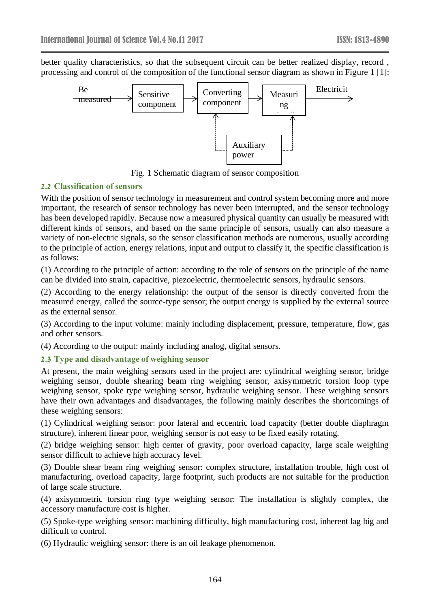better quality characteristics, so that the subsequent circuit can be better realized display, record , processing and control of the composition of the functional sensor diagram as shown in Figure 1 [1]:



Fig. 1 Schematic diagram of sensor composition

#### **2.2 Classification of sensors**

With the position of sensor technology in measurement and control system becoming more and more important, the research of sensor technology has never been interrupted, and the sensor technology has been developed rapidly. Because now a measured physical quantity can usually be measured with different kinds of sensors, and based on the same principle of sensors, usually can also measure a variety of non-electric signals, so the sensor classification methods are numerous, usually according to the principle of action, energy relations, input and output to classify it, the specific classification is as follows:

(1) According to the principle of action: according to the role of sensors on the principle of the name can be divided into strain, capacitive, piezoelectric, thermoelectric sensors, hydraulic sensors.

(2) According to the energy relationship: the output of the sensor is directly converted from the measured energy, called the source-type sensor; the output energy is supplied by the external source as the external sensor.

(3) According to the input volume: mainly including displacement, pressure, temperature, flow, gas and other sensors.

(4) According to the output: mainly including analog, digital sensors.

### **2.3 Type and disadvantage of weighing sensor**

At present, the main weighing sensors used in the project are: cylindrical weighing sensor, bridge weighing sensor, double shearing beam ring weighing sensor, axisymmetric torsion loop type weighing sensor, spoke type weighing sensor, hydraulic weighing sensor. These weighing sensors have their own advantages and disadvantages, the following mainly describes the shortcomings of these weighing sensors:

(1) Cylindrical weighing sensor: poor lateral and eccentric load capacity (better double diaphragm structure), inherent linear poor, weighing sensor is not easy to be fixed easily rotating.

(2) bridge weighing sensor: high center of gravity, poor overload capacity, large scale weighing sensor difficult to achieve high accuracy level.

(3) Double shear beam ring weighing sensor: complex structure, installation trouble, high cost of manufacturing, overload capacity, large footprint, such products are not suitable for the production of large scale structure.

(4) axisymmetric torsion ring type weighing sensor: The installation is slightly complex, the accessory manufacture cost is higher.

(5) Spoke-type weighing sensor: machining difficulty, high manufacturing cost, inherent lag big and difficult to control.

(6) Hydraulic weighing sensor: there is an oil leakage phenomenon.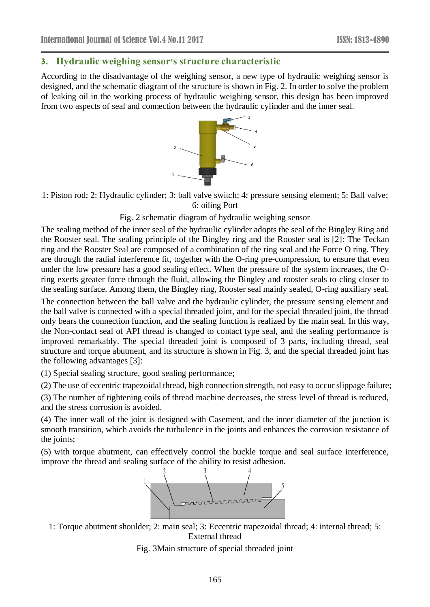#### **3. Hydraulic weighing sensor's structure characteristic**

According to the disadvantage of the weighing sensor, a new type of hydraulic weighing sensor is designed, and the schematic diagram of the structure is shown in Fig. 2. In order to solve the problem of leaking oil in the working process of hydraulic weighing sensor, this design has been improved from two aspects of seal and connection between the hydraulic cylinder and the inner seal.



1: Piston rod; 2: Hydraulic cylinder; 3: ball valve switch; 4: pressure sensing element; 5: Ball valve; 6: oiling Port

#### Fig. 2 schematic diagram of hydraulic weighing sensor

The sealing method of the inner seal of the hydraulic cylinder adopts the seal of the Bingley Ring and the Rooster seal. The sealing principle of the Bingley ring and the Rooster seal is [2]: The Teckan ring and the Rooster Seal are composed of a combination of the ring seal and the Force O ring. They are through the radial interference fit, together with the O-ring pre-compression, to ensure that even under the low pressure has a good sealing effect. When the pressure of the system increases, the Oring exerts greater force through the fluid, allowing the Bingley and rooster seals to cling closer to the sealing surface. Among them, the Bingley ring, Rooster seal mainly sealed, O-ring auxiliary seal.

The connection between the ball valve and the hydraulic cylinder, the pressure sensing element and the ball valve is connected with a special threaded joint, and for the special threaded joint, the thread only bears the connection function, and the sealing function is realized by the main seal. In this way, the Non-contact seal of API thread is changed to contact type seal, and the sealing performance is improved remarkably. The special threaded joint is composed of 3 parts, including thread, seal structure and torque abutment, and its structure is shown in Fig. 3, and the special threaded joint has the following advantages [3]:

(1) Special sealing structure, good sealing performance;

(2) The use of eccentric trapezoidal thread, high connection strength, not easy to occur slippage failure;

(3) The number of tightening coils of thread machine decreases, the stress level of thread is reduced, and the stress corrosion is avoided.

(4) The inner wall of the joint is designed with Casement, and the inner diameter of the junction is smooth transition, which avoids the turbulence in the joints and enhances the corrosion resistance of the joints;

(5) with torque abutment, can effectively control the buckle torque and seal surface interference, improve the thread and sealing surface of the ability to resist adhesion.



1: Torque abutment shoulder; 2: main seal; 3: Eccentric trapezoidal thread; 4: internal thread; 5: External thread

Fig. 3Main structure of special threaded joint